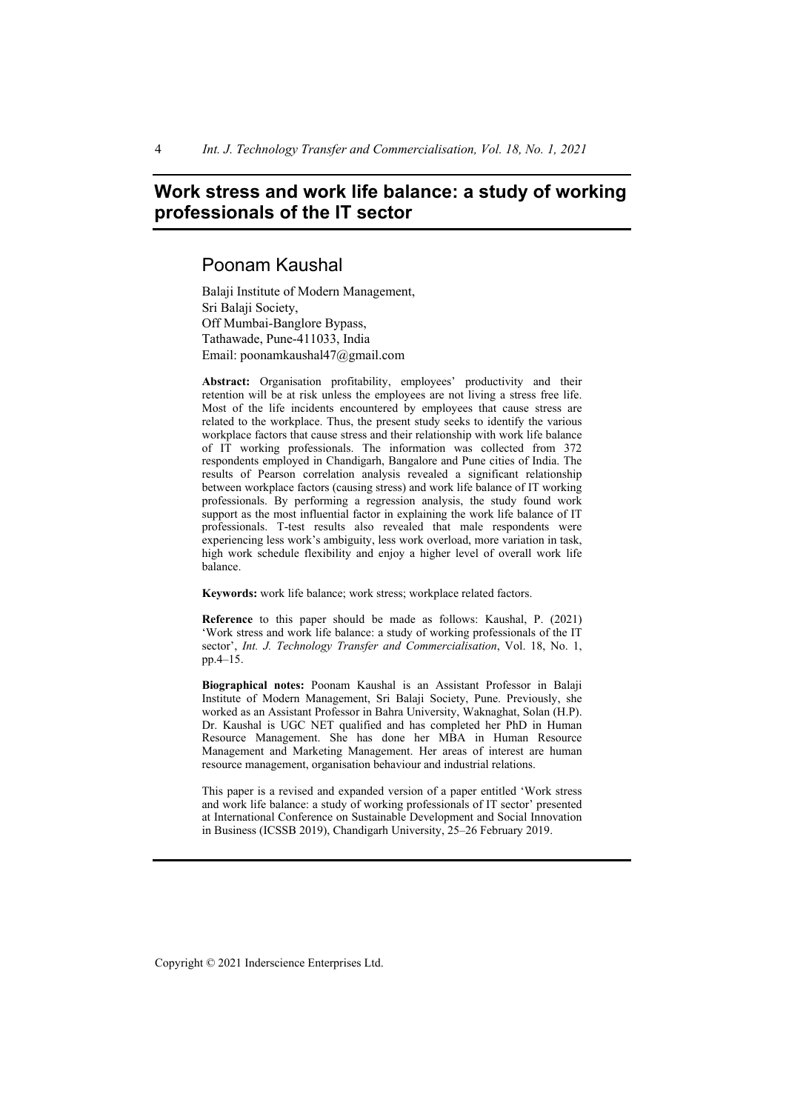4 *Int. J. Technology Transfer and Commercialisation, Vol. 18, No. 1, 2021* 

# **Work stress and work life balance: a study of working professionals of the IT sector**

# Poonam Kaushal

Balaji Institute of Modern Management, Sri Balaji Society, Off Mumbai-Banglore Bypass, Tathawade, Pune-411033, India Email: poonamkaushal47@gmail.com

**Abstract:** Organisation profitability, employees' productivity and their retention will be at risk unless the employees are not living a stress free life. Most of the life incidents encountered by employees that cause stress are related to the workplace. Thus, the present study seeks to identify the various workplace factors that cause stress and their relationship with work life balance of IT working professionals. The information was collected from 372 respondents employed in Chandigarh, Bangalore and Pune cities of India. The results of Pearson correlation analysis revealed a significant relationship between workplace factors (causing stress) and work life balance of IT working professionals. By performing a regression analysis, the study found work support as the most influential factor in explaining the work life balance of IT professionals. T-test results also revealed that male respondents were experiencing less work's ambiguity, less work overload, more variation in task, high work schedule flexibility and enjoy a higher level of overall work life balance.

**Keywords:** work life balance; work stress; workplace related factors.

**Reference** to this paper should be made as follows: Kaushal, P. (2021) 'Work stress and work life balance: a study of working professionals of the IT sector', *Int. J. Technology Transfer and Commercialisation*, Vol. 18, No. 1, pp.4–15.

**Biographical notes:** Poonam Kaushal is an Assistant Professor in Balaji Institute of Modern Management, Sri Balaji Society, Pune. Previously, she worked as an Assistant Professor in Bahra University, Waknaghat, Solan (H.P). Dr. Kaushal is UGC NET qualified and has completed her PhD in Human Resource Management. She has done her MBA in Human Resource Management and Marketing Management. Her areas of interest are human resource management, organisation behaviour and industrial relations.

This paper is a revised and expanded version of a paper entitled 'Work stress and work life balance: a study of working professionals of IT sector' presented at International Conference on Sustainable Development and Social Innovation in Business (ICSSB 2019), Chandigarh University, 25–26 February 2019.

Copyright © 2021 Inderscience Enterprises Ltd.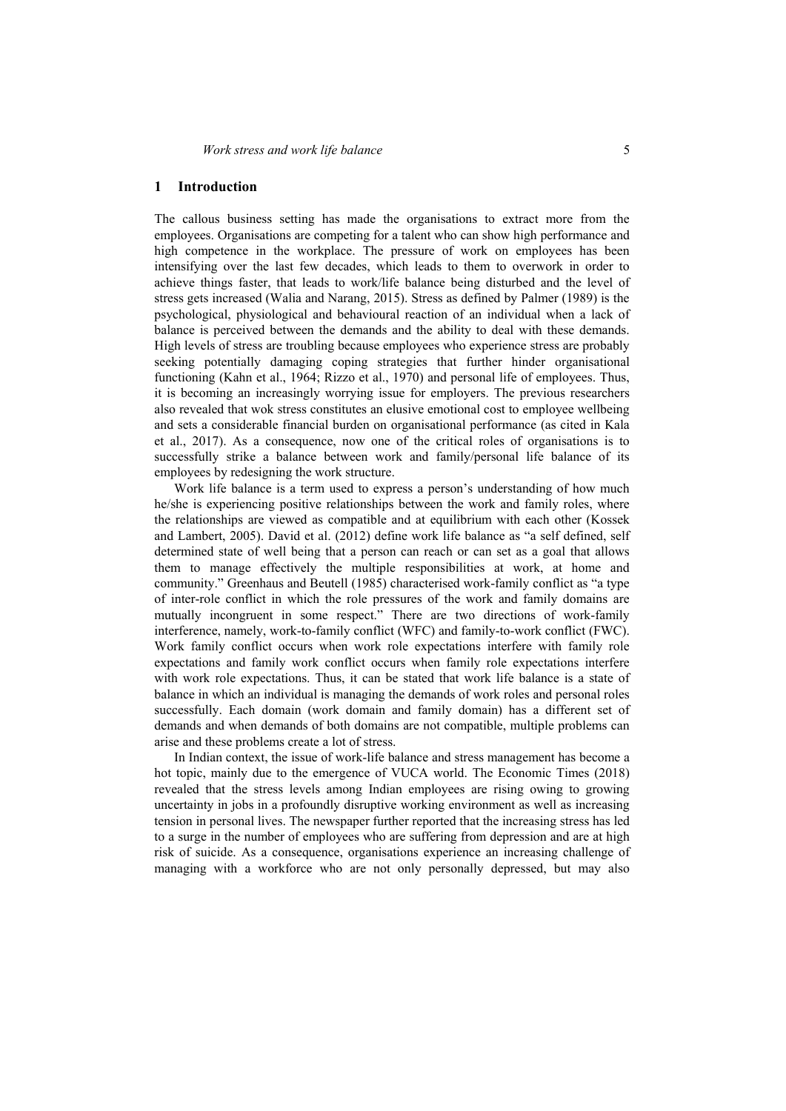### **1 Introduction**

The callous business setting has made the organisations to extract more from the employees. Organisations are competing for a talent who can show high performance and high competence in the workplace. The pressure of work on employees has been intensifying over the last few decades, which leads to them to overwork in order to achieve things faster, that leads to work/life balance being disturbed and the level of stress gets increased (Walia and Narang, 2015). Stress as defined by Palmer (1989) is the psychological, physiological and behavioural reaction of an individual when a lack of balance is perceived between the demands and the ability to deal with these demands. High levels of stress are troubling because employees who experience stress are probably seeking potentially damaging coping strategies that further hinder organisational functioning (Kahn et al., 1964; Rizzo et al., 1970) and personal life of employees. Thus, it is becoming an increasingly worrying issue for employers. The previous researchers also revealed that wok stress constitutes an elusive emotional cost to employee wellbeing and sets a considerable financial burden on organisational performance (as cited in Kala et al., 2017). As a consequence, now one of the critical roles of organisations is to successfully strike a balance between work and family/personal life balance of its employees by redesigning the work structure.

Work life balance is a term used to express a person's understanding of how much he/she is experiencing positive relationships between the work and family roles, where the relationships are viewed as compatible and at equilibrium with each other (Kossek and Lambert, 2005). David et al. (2012) define work life balance as "a self defined, self determined state of well being that a person can reach or can set as a goal that allows them to manage effectively the multiple responsibilities at work, at home and community." Greenhaus and Beutell (1985) characterised work-family conflict as "a type of inter-role conflict in which the role pressures of the work and family domains are mutually incongruent in some respect." There are two directions of work-family interference, namely, work-to-family conflict (WFC) and family-to-work conflict (FWC). Work family conflict occurs when work role expectations interfere with family role expectations and family work conflict occurs when family role expectations interfere with work role expectations. Thus, it can be stated that work life balance is a state of balance in which an individual is managing the demands of work roles and personal roles successfully. Each domain (work domain and family domain) has a different set of demands and when demands of both domains are not compatible, multiple problems can arise and these problems create a lot of stress.

In Indian context, the issue of work-life balance and stress management has become a hot topic, mainly due to the emergence of VUCA world. The Economic Times (2018) revealed that the stress levels among Indian employees are rising owing to growing uncertainty in jobs in a profoundly disruptive working environment as well as increasing tension in personal lives. The newspaper further reported that the increasing stress has led to a surge in the number of employees who are suffering from depression and are at high risk of suicide. As a consequence, organisations experience an increasing challenge of managing with a workforce who are not only personally depressed, but may also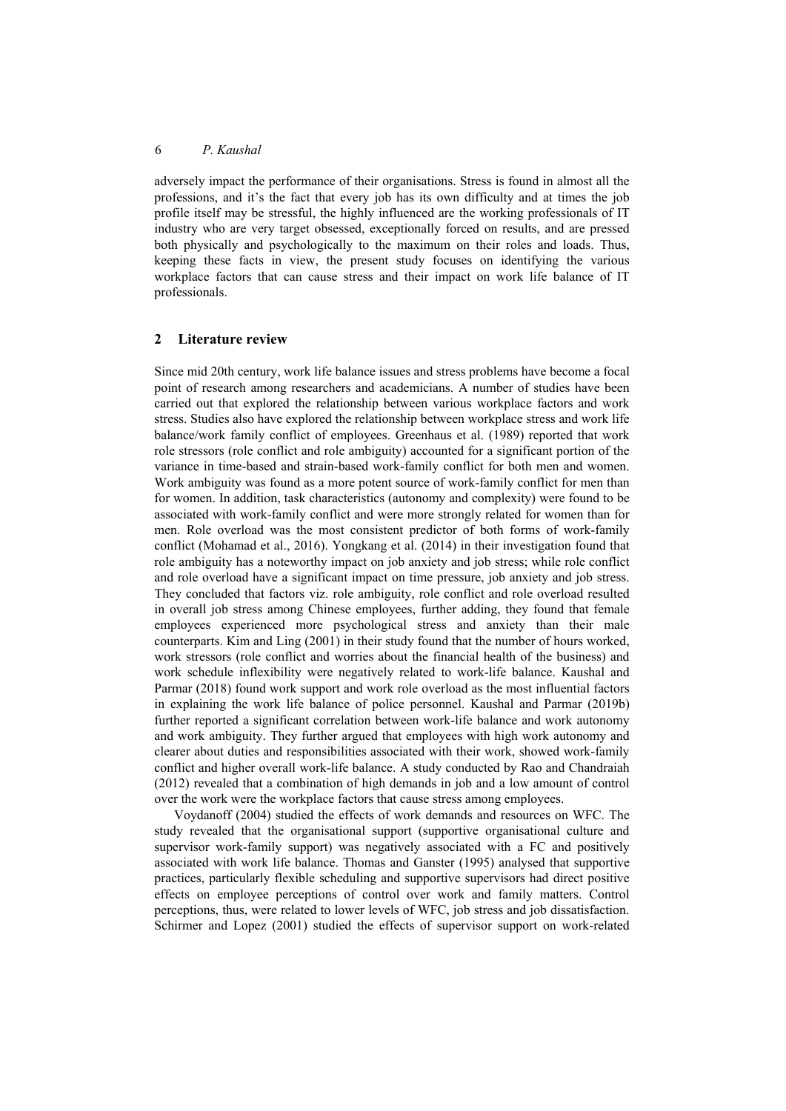adversely impact the performance of their organisations. Stress is found in almost all the professions, and it's the fact that every job has its own difficulty and at times the job profile itself may be stressful, the highly influenced are the working professionals of IT industry who are very target obsessed, exceptionally forced on results, and are pressed both physically and psychologically to the maximum on their roles and loads. Thus, keeping these facts in view, the present study focuses on identifying the various workplace factors that can cause stress and their impact on work life balance of IT professionals.

### **2 Literature review**

Since mid 20th century, work life balance issues and stress problems have become a focal point of research among researchers and academicians. A number of studies have been carried out that explored the relationship between various workplace factors and work stress. Studies also have explored the relationship between workplace stress and work life balance/work family conflict of employees. Greenhaus et al. (1989) reported that work role stressors (role conflict and role ambiguity) accounted for a significant portion of the variance in time-based and strain-based work-family conflict for both men and women. Work ambiguity was found as a more potent source of work-family conflict for men than for women. In addition, task characteristics (autonomy and complexity) were found to be associated with work-family conflict and were more strongly related for women than for men. Role overload was the most consistent predictor of both forms of work-family conflict (Mohamad et al., 2016). Yongkang et al. (2014) in their investigation found that role ambiguity has a noteworthy impact on job anxiety and job stress; while role conflict and role overload have a significant impact on time pressure, job anxiety and job stress. They concluded that factors viz. role ambiguity, role conflict and role overload resulted in overall job stress among Chinese employees, further adding, they found that female employees experienced more psychological stress and anxiety than their male counterparts. Kim and Ling (2001) in their study found that the number of hours worked, work stressors (role conflict and worries about the financial health of the business) and work schedule inflexibility were negatively related to work-life balance. Kaushal and Parmar (2018) found work support and work role overload as the most influential factors in explaining the work life balance of police personnel. Kaushal and Parmar (2019b) further reported a significant correlation between work-life balance and work autonomy and work ambiguity. They further argued that employees with high work autonomy and clearer about duties and responsibilities associated with their work, showed work-family conflict and higher overall work-life balance. A study conducted by Rao and Chandraiah (2012) revealed that a combination of high demands in job and a low amount of control over the work were the workplace factors that cause stress among employees.

Voydanoff (2004) studied the effects of work demands and resources on WFC. The study revealed that the organisational support (supportive organisational culture and supervisor work-family support) was negatively associated with a FC and positively associated with work life balance. Thomas and Ganster (1995) analysed that supportive practices, particularly flexible scheduling and supportive supervisors had direct positive effects on employee perceptions of control over work and family matters. Control perceptions, thus, were related to lower levels of WFC, job stress and job dissatisfaction. Schirmer and Lopez (2001) studied the effects of supervisor support on work-related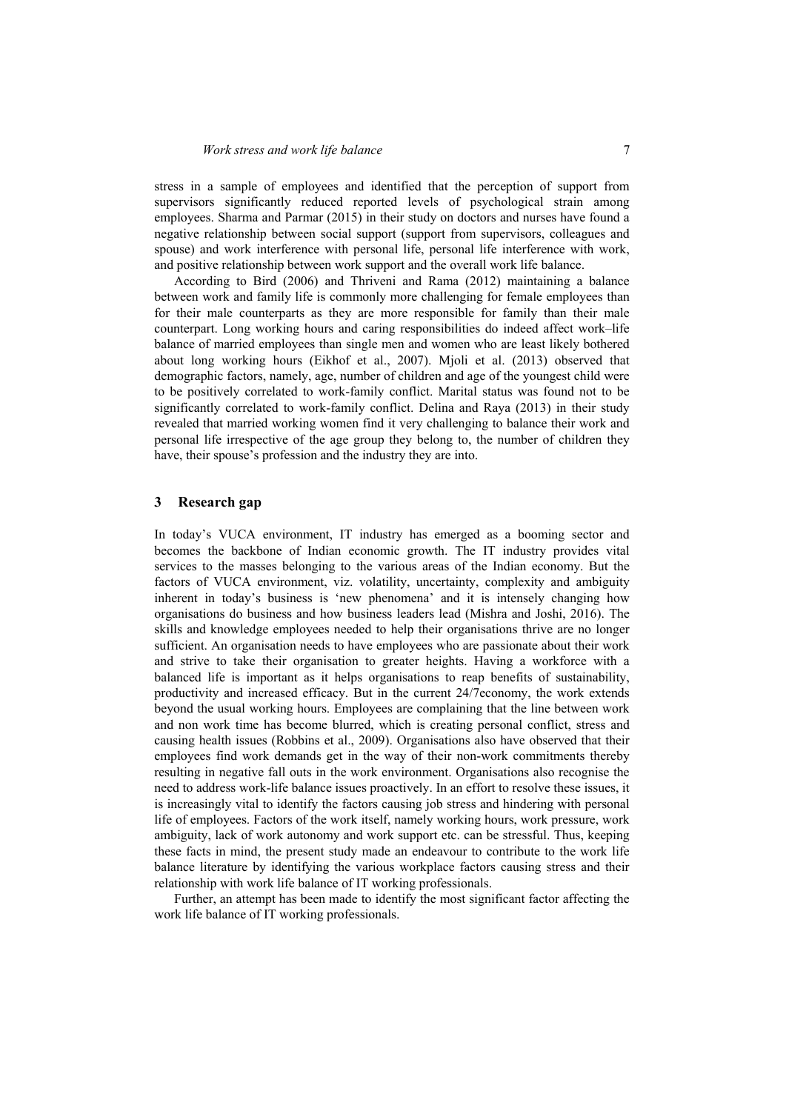stress in a sample of employees and identified that the perception of support from supervisors significantly reduced reported levels of psychological strain among employees. Sharma and Parmar (2015) in their study on doctors and nurses have found a negative relationship between social support (support from supervisors, colleagues and spouse) and work interference with personal life, personal life interference with work, and positive relationship between work support and the overall work life balance.

According to Bird (2006) and Thriveni and Rama (2012) maintaining a balance between work and family life is commonly more challenging for female employees than for their male counterparts as they are more responsible for family than their male counterpart. Long working hours and caring responsibilities do indeed affect work–life balance of married employees than single men and women who are least likely bothered about long working hours (Eikhof et al., 2007). Mjoli et al. (2013) observed that demographic factors, namely, age, number of children and age of the youngest child were to be positively correlated to work-family conflict. Marital status was found not to be significantly correlated to work-family conflict. Delina and Raya (2013) in their study revealed that married working women find it very challenging to balance their work and personal life irrespective of the age group they belong to, the number of children they have, their spouse's profession and the industry they are into.

### **3 Research gap**

In today's VUCA environment, IT industry has emerged as a booming sector and becomes the backbone of Indian economic growth. The IT industry provides vital services to the masses belonging to the various areas of the Indian economy. But the factors of VUCA environment, viz. volatility, uncertainty, complexity and ambiguity inherent in today's business is 'new phenomena' and it is intensely changing how organisations do business and how business leaders lead (Mishra and Joshi, 2016). The skills and knowledge employees needed to help their organisations thrive are no longer sufficient. An organisation needs to have employees who are passionate about their work and strive to take their organisation to greater heights. Having a workforce with a balanced life is important as it helps organisations to reap benefits of sustainability, productivity and increased efficacy. But in the current 24/7economy, the work extends beyond the usual working hours. Employees are complaining that the line between work and non work time has become blurred, which is creating personal conflict, stress and causing health issues (Robbins et al., 2009). Organisations also have observed that their employees find work demands get in the way of their non-work commitments thereby resulting in negative fall outs in the work environment. Organisations also recognise the need to address work-life balance issues proactively. In an effort to resolve these issues, it is increasingly vital to identify the factors causing job stress and hindering with personal life of employees. Factors of the work itself, namely working hours, work pressure, work ambiguity, lack of work autonomy and work support etc. can be stressful. Thus, keeping these facts in mind, the present study made an endeavour to contribute to the work life balance literature by identifying the various workplace factors causing stress and their relationship with work life balance of IT working professionals.

Further, an attempt has been made to identify the most significant factor affecting the work life balance of IT working professionals.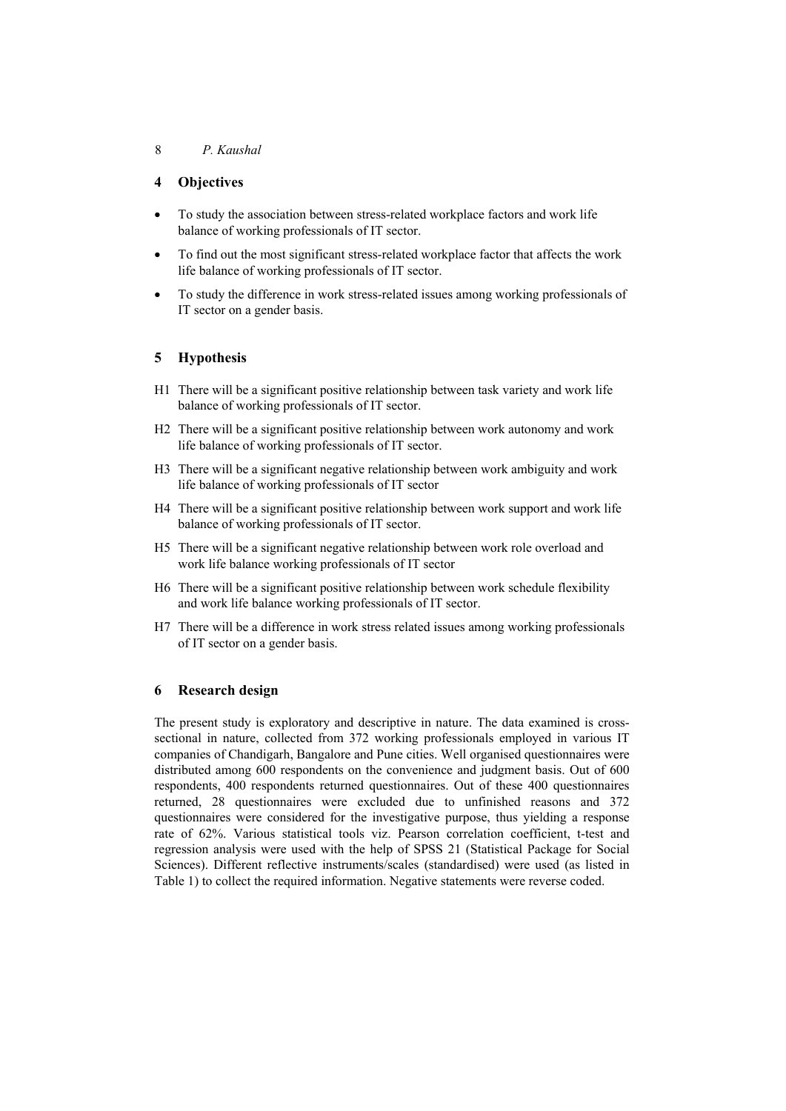## **4 Objectives**

- To study the association between stress-related workplace factors and work life balance of working professionals of IT sector.
- To find out the most significant stress-related workplace factor that affects the work life balance of working professionals of IT sector.
- To study the difference in work stress-related issues among working professionals of IT sector on a gender basis.

# **5 Hypothesis**

- H1 There will be a significant positive relationship between task variety and work life balance of working professionals of IT sector.
- H2 There will be a significant positive relationship between work autonomy and work life balance of working professionals of IT sector.
- H3 There will be a significant negative relationship between work ambiguity and work life balance of working professionals of IT sector
- H4 There will be a significant positive relationship between work support and work life balance of working professionals of IT sector.
- H5 There will be a significant negative relationship between work role overload and work life balance working professionals of IT sector
- H6 There will be a significant positive relationship between work schedule flexibility and work life balance working professionals of IT sector.
- H7 There will be a difference in work stress related issues among working professionals of IT sector on a gender basis.

## **6 Research design**

The present study is exploratory and descriptive in nature. The data examined is crosssectional in nature, collected from 372 working professionals employed in various IT companies of Chandigarh, Bangalore and Pune cities. Well organised questionnaires were distributed among 600 respondents on the convenience and judgment basis. Out of 600 respondents, 400 respondents returned questionnaires. Out of these 400 questionnaires returned, 28 questionnaires were excluded due to unfinished reasons and 372 questionnaires were considered for the investigative purpose, thus yielding a response rate of 62%. Various statistical tools viz. Pearson correlation coefficient, t-test and regression analysis were used with the help of SPSS 21 (Statistical Package for Social Sciences). Different reflective instruments/scales (standardised) were used (as listed in Table 1) to collect the required information. Negative statements were reverse coded.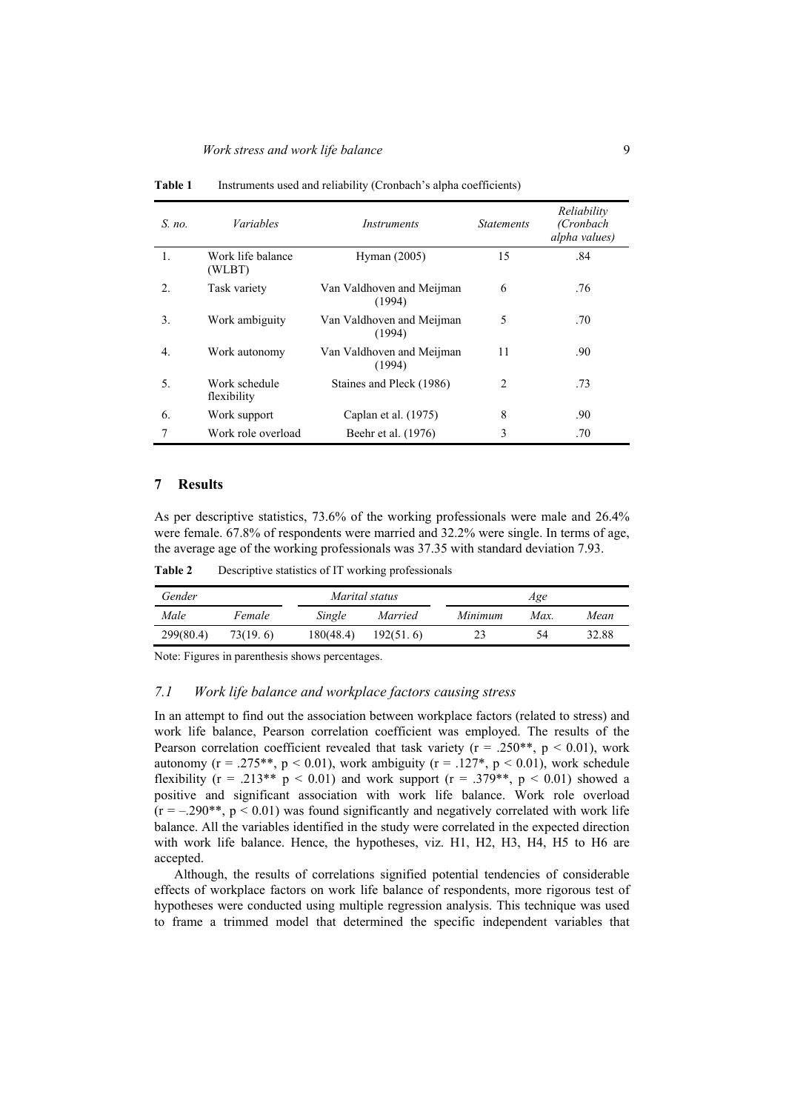| $S$ no.        | <i>Variables</i>             | <i>Instruments</i>                  | <b>Statements</b> | Reliability<br>(Cronbach<br>alpha values) |  |
|----------------|------------------------------|-------------------------------------|-------------------|-------------------------------------------|--|
| 1.             | Work life balance<br>(WLBT)  | Hyman (2005)                        | 15                | .84                                       |  |
| $\mathfrak{D}$ | Task variety                 | Van Valdhoven and Meijman<br>(1994) | 6                 | .76                                       |  |
| 3.             | Work ambiguity               | Van Valdhoven and Meijman<br>(1994) | 5                 | .70                                       |  |
| 4.             | Work autonomy                | Van Valdhoven and Meijman<br>(1994) | 11                | .90                                       |  |
| 5.             | Work schedule<br>flexibility | Staines and Pleck (1986)            | $\mathfrak{D}$    | .73                                       |  |
| 6.             | Work support                 | Caplan et al. (1975)                | 8                 | .90                                       |  |
|                | Work role overload           | Beehr et al. (1976)                 | 3                 | .70                                       |  |

Table 1 Instruments used and reliability (Cronbach's alpha coefficients)

### **7 Results**

As per descriptive statistics, 73.6% of the working professionals were male and 26.4% were female. 67.8% of respondents were married and 32.2% were single. In terms of age, the average age of the working professionals was 37.35 with standard deviation 7.93.

**Table 2** Descriptive statistics of IT working professionals

| Gender    |          |           | Marital status |         | Age  |       |  |  |
|-----------|----------|-----------|----------------|---------|------|-------|--|--|
| Male      | Female   |           | Married        | Minimum | Max. | Mean  |  |  |
| 299(80.4) | 73(19.6) | 180(48.4) | 192(51.6)      | 23      | 54   | 32.88 |  |  |

Note: Figures in parenthesis shows percentages.

### *7.1 Work life balance and workplace factors causing stress*

In an attempt to find out the association between workplace factors (related to stress) and work life balance, Pearson correlation coefficient was employed. The results of the Pearson correlation coefficient revealed that task variety ( $r = .250**$ ,  $p < 0.01$ ), work autonomy ( $r = .275**$ ,  $p < 0.01$ ), work ambiguity ( $r = .127*$ ,  $p < 0.01$ ), work schedule flexibility ( $r = .213**$  p < 0.01) and work support ( $r = .379**$ , p < 0.01) showed a positive and significant association with work life balance. Work role overload  $(r = -.290**, p < 0.01)$  was found significantly and negatively correlated with work life balance. All the variables identified in the study were correlated in the expected direction with work life balance. Hence, the hypotheses, viz. H1, H2, H3, H4, H5 to H6 are accepted.

Although, the results of correlations signified potential tendencies of considerable effects of workplace factors on work life balance of respondents, more rigorous test of hypotheses were conducted using multiple regression analysis. This technique was used to frame a trimmed model that determined the specific independent variables that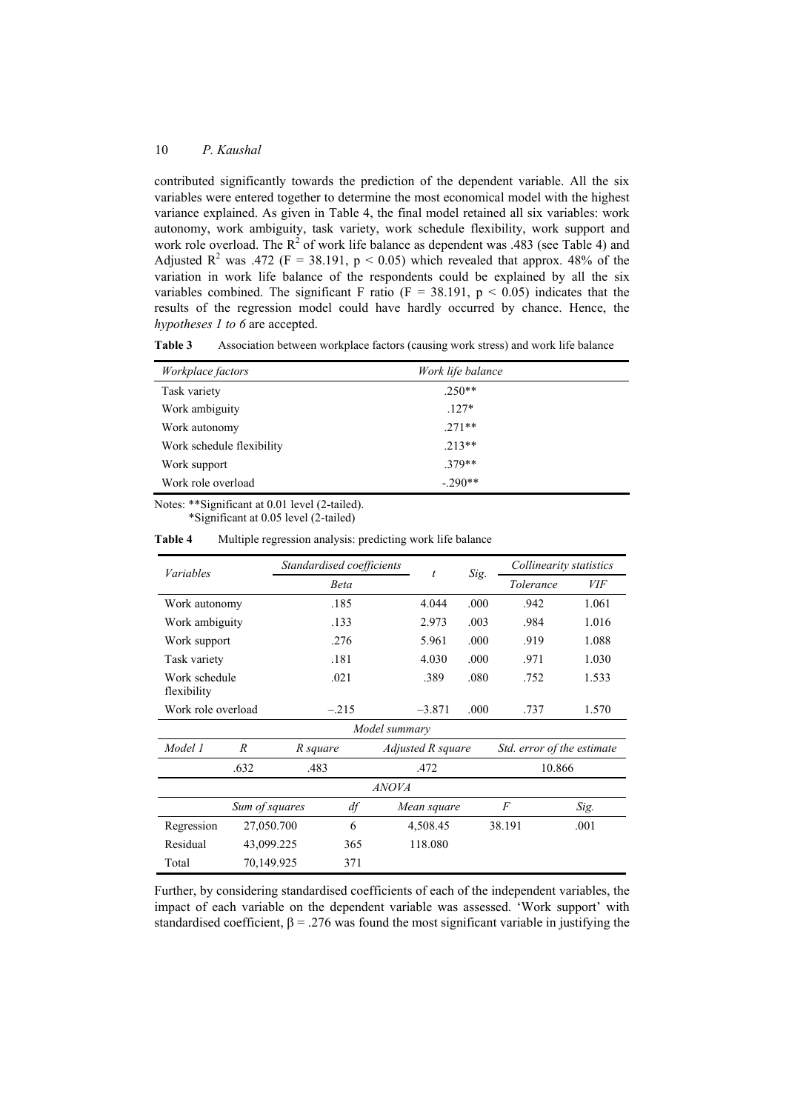contributed significantly towards the prediction of the dependent variable. All the six variables were entered together to determine the most economical model with the highest variance explained. As given in Table 4, the final model retained all six variables: work autonomy, work ambiguity, task variety, work schedule flexibility, work support and work role overload. The  $R^2$  of work life balance as dependent was .483 (see Table 4) and Adjusted R<sup>2</sup> was .472 (F = 38.191, p < 0.05) which revealed that approx. 48% of the variation in work life balance of the respondents could be explained by all the six variables combined. The significant F ratio (F = 38.191,  $p < 0.05$ ) indicates that the results of the regression model could have hardly occurred by chance. Hence, the *hypotheses 1 to 6* are accepted.

| Workplace factors         | Work life balance |
|---------------------------|-------------------|
| Task variety              | $.250**$          |
| Work ambiguity            | $.127*$           |
| Work autonomy             | $.271**$          |
| Work schedule flexibility | $.213**$          |
| Work support              | $.379**$          |
| Work role overload        | $-.290**$         |

**Table 3** Association between workplace factors (causing work stress) and work life balance

Notes: \*\*Significant at 0.01 level (2-tailed).

\*Significant at 0.05 level (2-tailed)

| Variables                    |                  | Standardised coefficients |             |             | t                 | Sig. | Collinearity statistics    |            |  |
|------------------------------|------------------|---------------------------|-------------|-------------|-------------------|------|----------------------------|------------|--|
|                              |                  |                           | <b>Beta</b> |             |                   |      | Tolerance                  | <i>VIF</i> |  |
| Work autonomy                |                  |                           | .185        |             | 4.044             | .000 | .942                       | 1.061      |  |
| Work ambiguity               |                  |                           | .133        |             | 2.973             | .003 | .984                       | 1.016      |  |
| Work support                 |                  |                           | .276        |             |                   | .000 | .919                       | 1.088      |  |
| Task variety                 |                  |                           | .181        |             |                   | .000 | .971                       | 1.030      |  |
| Work schedule<br>flexibility |                  |                           | .021        |             | .389              | .080 | .752                       | 1.533      |  |
| Work role overload           |                  |                           | $-.215$     |             | $-3.871$<br>.000  |      | .737                       | 1.570      |  |
| Model summary                |                  |                           |             |             |                   |      |                            |            |  |
| Model 1                      | $\boldsymbol{R}$ | R square                  |             |             | Adjusted R square |      | Std. error of the estimate |            |  |
|                              | .632             | .483                      |             |             | .472              |      | 10.866                     |            |  |
| <i>ANOVA</i>                 |                  |                           |             |             |                   |      |                            |            |  |
|                              | Sum of squares   |                           | df          | Mean square |                   |      | F                          | Sig.       |  |
| Regression                   |                  | 27,050.700<br>6           |             |             | 4,508.45          |      | 38.191                     | .001       |  |
| Residual                     |                  | 43,099.225                |             |             | 118.080           |      |                            |            |  |
| Total                        | 70,149.925       |                           | 371         |             |                   |      |                            |            |  |

**Table 4** Multiple regression analysis: predicting work life balance

Further, by considering standardised coefficients of each of the independent variables, the impact of each variable on the dependent variable was assessed. 'Work support' with standardised coefficient,  $\beta = 0.276$  was found the most significant variable in justifying the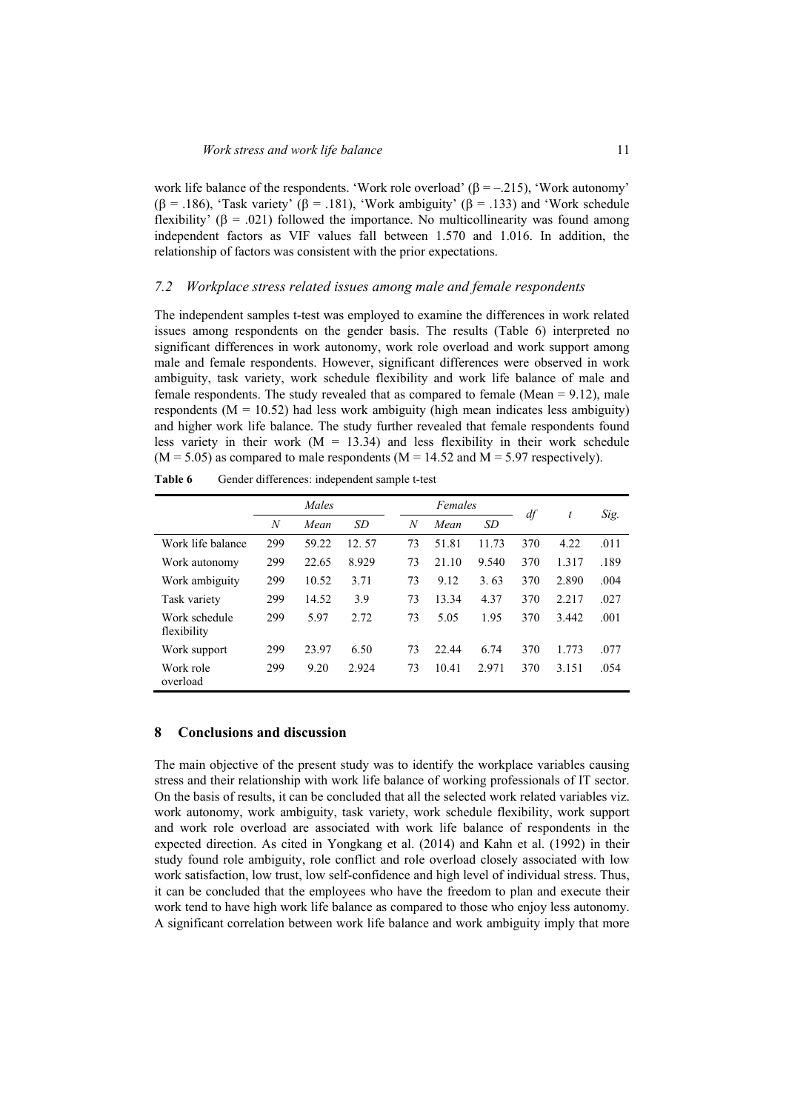work life balance of the respondents. 'Work role overload' ( $\beta = -0.215$ ), 'Work autonomy' ( $\beta$  = .186), 'Task variety' ( $\beta$  = .181), 'Work ambiguity' ( $\beta$  = .133) and 'Work schedule flexibility'  $(\beta = .021)$  followed the importance. No multicollinearity was found among independent factors as VIF values fall between 1.570 and 1.016. In addition, the relationship of factors was consistent with the prior expectations.

### *7.2 Workplace stress related issues among male and female respondents*

The independent samples t-test was employed to examine the differences in work related issues among respondents on the gender basis. The results (Table 6) interpreted no significant differences in work autonomy, work role overload and work support among male and female respondents. However, significant differences were observed in work ambiguity, task variety, work schedule flexibility and work life balance of male and female respondents. The study revealed that as compared to female (Mean  $= 9.12$ ), male respondents  $(M = 10.52)$  had less work ambiguity (high mean indicates less ambiguity) and higher work life balance. The study further revealed that female respondents found less variety in their work  $(M = 13.34)$  and less flexibility in their work schedule  $(M = 5.05)$  as compared to male respondents  $(M = 14.52$  and  $M = 5.97$  respectively).

|                              | Males |       |           |                  | Females |       | df  | t     | Sig. |
|------------------------------|-------|-------|-----------|------------------|---------|-------|-----|-------|------|
|                              | N     | Mean  | <b>SD</b> | $\boldsymbol{N}$ | Mean    | SD    |     |       |      |
| Work life balance            | 299   | 59.22 | 12.57     | 73               | 51.81   | 11.73 | 370 | 4.22  | .011 |
| Work autonomy                | 299   | 22.65 | 8.929     | 73               | 21.10   | 9.540 | 370 | 1.317 | .189 |
| Work ambiguity               | 299   | 10.52 | 3.71      | 73               | 9.12    | 3.63  | 370 | 2.890 | .004 |
| Task variety                 | 299   | 14.52 | 3.9       | 73               | 13.34   | 4.37  | 370 | 2.217 | .027 |
| Work schedule<br>flexibility | 299   | 5.97  | 2.72      | 73               | 5.05    | 1.95  | 370 | 3.442 | .001 |
| Work support                 | 299   | 23.97 | 6.50      | 73               | 22.44   | 6.74  | 370 | 1.773 | .077 |
| Work role<br>overload        | 299   | 9.20  | 2.924     | 73               | 10.41   | 2.971 | 370 | 3.151 | .054 |

Table 6 Gender differences: independent sample t-test

### **8 Conclusions and discussion**

The main objective of the present study was to identify the workplace variables causing stress and their relationship with work life balance of working professionals of IT sector. On the basis of results, it can be concluded that all the selected work related variables viz. work autonomy, work ambiguity, task variety, work schedule flexibility, work support and work role overload are associated with work life balance of respondents in the expected direction. As cited in Yongkang et al. (2014) and Kahn et al. (1992) in their study found role ambiguity, role conflict and role overload closely associated with low work satisfaction, low trust, low self-confidence and high level of individual stress. Thus, it can be concluded that the employees who have the freedom to plan and execute their work tend to have high work life balance as compared to those who enjoy less autonomy. A significant correlation between work life balance and work ambiguity imply that more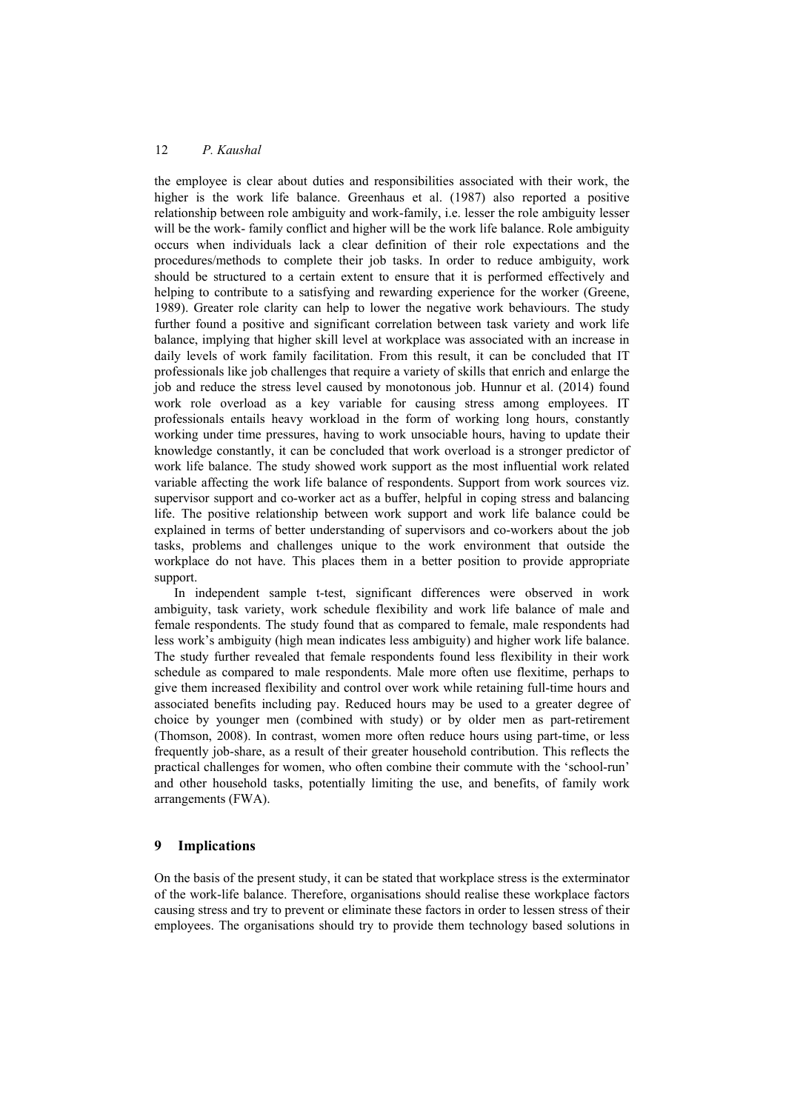the employee is clear about duties and responsibilities associated with their work, the higher is the work life balance. Greenhaus et al. (1987) also reported a positive relationship between role ambiguity and work-family, i.e. lesser the role ambiguity lesser will be the work- family conflict and higher will be the work life balance. Role ambiguity occurs when individuals lack a clear definition of their role expectations and the procedures/methods to complete their job tasks. In order to reduce ambiguity, work should be structured to a certain extent to ensure that it is performed effectively and helping to contribute to a satisfying and rewarding experience for the worker (Greene, 1989). Greater role clarity can help to lower the negative work behaviours. The study further found a positive and significant correlation between task variety and work life balance, implying that higher skill level at workplace was associated with an increase in daily levels of work family facilitation. From this result, it can be concluded that IT professionals like job challenges that require a variety of skills that enrich and enlarge the job and reduce the stress level caused by monotonous job. Hunnur et al. (2014) found work role overload as a key variable for causing stress among employees. IT professionals entails heavy workload in the form of working long hours, constantly working under time pressures, having to work unsociable hours, having to update their knowledge constantly, it can be concluded that work overload is a stronger predictor of work life balance. The study showed work support as the most influential work related variable affecting the work life balance of respondents. Support from work sources viz. supervisor support and co-worker act as a buffer, helpful in coping stress and balancing life. The positive relationship between work support and work life balance could be explained in terms of better understanding of supervisors and co-workers about the job tasks, problems and challenges unique to the work environment that outside the workplace do not have. This places them in a better position to provide appropriate support.

In independent sample t-test, significant differences were observed in work ambiguity, task variety, work schedule flexibility and work life balance of male and female respondents. The study found that as compared to female, male respondents had less work's ambiguity (high mean indicates less ambiguity) and higher work life balance. The study further revealed that female respondents found less flexibility in their work schedule as compared to male respondents. Male more often use flexitime, perhaps to give them increased flexibility and control over work while retaining full-time hours and associated benefits including pay. Reduced hours may be used to a greater degree of choice by younger men (combined with study) or by older men as part-retirement (Thomson, 2008). In contrast, women more often reduce hours using part-time, or less frequently job-share, as a result of their greater household contribution. This reflects the practical challenges for women, who often combine their commute with the 'school-run' and other household tasks, potentially limiting the use, and benefits, of family work arrangements (FWA).

### **9 Implications**

On the basis of the present study, it can be stated that workplace stress is the exterminator of the work-life balance. Therefore, organisations should realise these workplace factors causing stress and try to prevent or eliminate these factors in order to lessen stress of their employees. The organisations should try to provide them technology based solutions in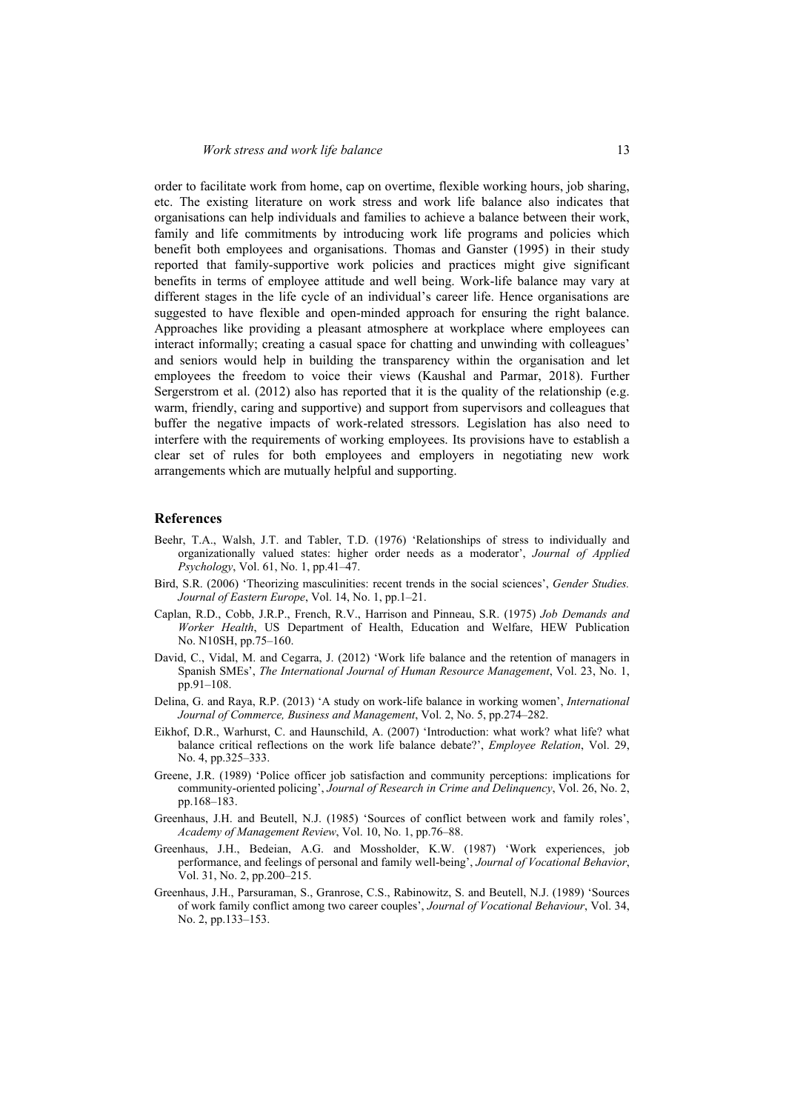order to facilitate work from home, cap on overtime, flexible working hours, job sharing, etc. The existing literature on work stress and work life balance also indicates that organisations can help individuals and families to achieve a balance between their work, family and life commitments by introducing work life programs and policies which benefit both employees and organisations. Thomas and Ganster (1995) in their study reported that family-supportive work policies and practices might give significant benefits in terms of employee attitude and well being. Work-life balance may vary at different stages in the life cycle of an individual's career life. Hence organisations are suggested to have flexible and open-minded approach for ensuring the right balance. Approaches like providing a pleasant atmosphere at workplace where employees can interact informally; creating a casual space for chatting and unwinding with colleagues' and seniors would help in building the transparency within the organisation and let employees the freedom to voice their views (Kaushal and Parmar, 2018). Further Sergerstrom et al. (2012) also has reported that it is the quality of the relationship (e.g. warm, friendly, caring and supportive) and support from supervisors and colleagues that buffer the negative impacts of work-related stressors. Legislation has also need to interfere with the requirements of working employees. Its provisions have to establish a clear set of rules for both employees and employers in negotiating new work arrangements which are mutually helpful and supporting.

### **References**

- Beehr, T.A., Walsh, J.T. and Tabler, T.D. (1976) 'Relationships of stress to individually and organizationally valued states: higher order needs as a moderator', *Journal of Applied Psychology*, Vol. 61, No. 1, pp.41–47.
- Bird, S.R. (2006) 'Theorizing masculinities: recent trends in the social sciences', *Gender Studies. Journal of Eastern Europe*, Vol. 14, No. 1, pp.1–21.
- Caplan, R.D., Cobb, J.R.P., French, R.V., Harrison and Pinneau, S.R. (1975) *Job Demands and Worker Health*, US Department of Health, Education and Welfare, HEW Publication No. N10SH, pp.75–160.
- David, C., Vidal, M. and Cegarra, J. (2012) 'Work life balance and the retention of managers in Spanish SMEs', *The International Journal of Human Resource Management*, Vol. 23, No. 1, pp.91–108.
- Delina, G. and Raya, R.P. (2013) 'A study on work-life balance in working women', *International Journal of Commerce, Business and Management*, Vol. 2, No. 5, pp.274–282.
- Eikhof, D.R., Warhurst, C. and Haunschild, A. (2007) 'Introduction: what work? what life? what balance critical reflections on the work life balance debate?', *Employee Relation*, Vol. 29, No. 4, pp.325–333.
- Greene, J.R. (1989) 'Police officer job satisfaction and community perceptions: implications for community-oriented policing', *Journal of Research in Crime and Delinquency*, Vol. 26, No. 2, pp.168–183.
- Greenhaus, J.H. and Beutell, N.J. (1985) 'Sources of conflict between work and family roles', *Academy of Management Review*, Vol. 10, No. 1, pp.76–88.
- Greenhaus, J.H., Bedeian, A.G. and Mossholder, K.W. (1987) 'Work experiences, job performance, and feelings of personal and family well-being', *Journal of Vocational Behavior*, Vol. 31, No. 2, pp.200–215.
- Greenhaus, J.H., Parsuraman, S., Granrose, C.S., Rabinowitz, S. and Beutell, N.J. (1989) 'Sources of work family conflict among two career couples', *Journal of Vocational Behaviour*, Vol. 34, No. 2, pp.133–153.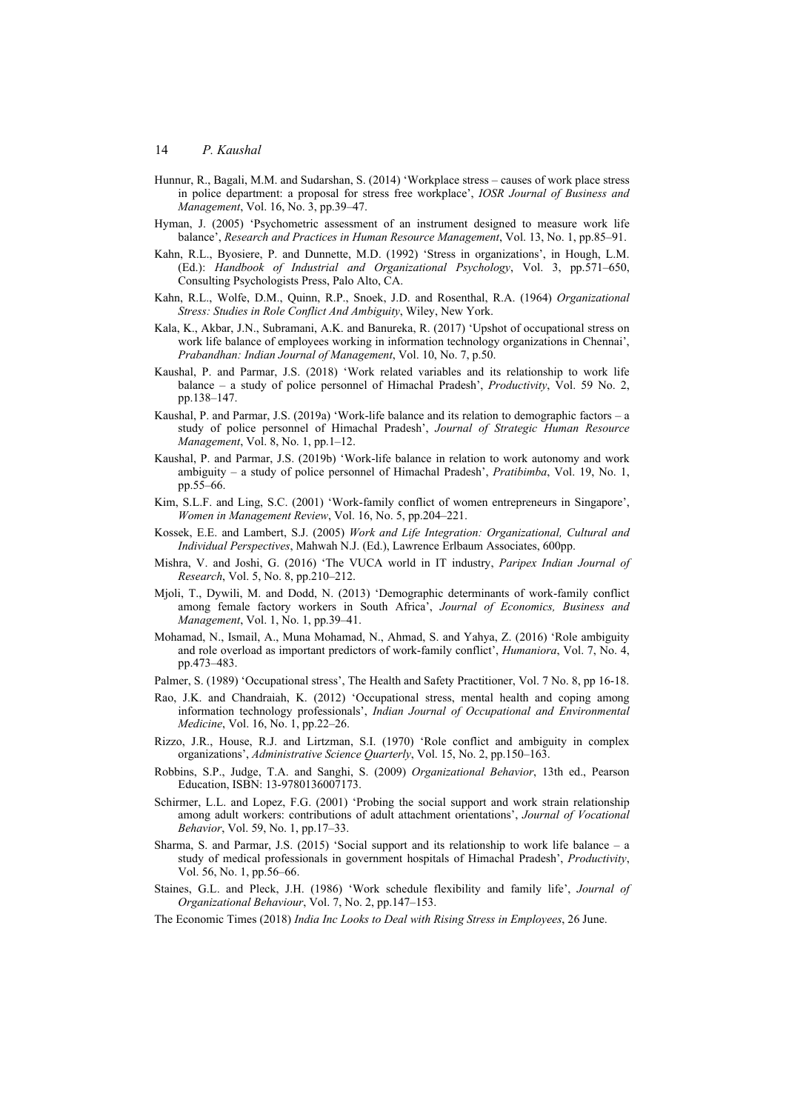- Hunnur, R., Bagali, M.M. and Sudarshan, S. (2014) 'Workplace stress causes of work place stress in police department: a proposal for stress free workplace', *IOSR Journal of Business and Management*, Vol. 16, No. 3, pp.39–47.
- Hyman, J. (2005) 'Psychometric assessment of an instrument designed to measure work life balance', *Research and Practices in Human Resource Management*, Vol. 13, No. 1, pp.85–91.
- Kahn, R.L., Byosiere, P. and Dunnette, M.D. (1992) 'Stress in organizations', in Hough, L.M. (Ed.): *Handbook of Industrial and Organizational Psychology*, Vol. 3, pp.571–650, Consulting Psychologists Press, Palo Alto, CA.
- Kahn, R.L., Wolfe, D.M., Quinn, R.P., Snoek, J.D. and Rosenthal, R.A. (1964) *Organizational Stress: Studies in Role Conflict And Ambiguity*, Wiley, New York.
- Kala, K., Akbar, J.N., Subramani, A.K. and Banureka, R. (2017) 'Upshot of occupational stress on work life balance of employees working in information technology organizations in Chennai', *Prabandhan: Indian Journal of Management*, Vol. 10, No. 7, p.50.
- Kaushal, P. and Parmar, J.S. (2018) 'Work related variables and its relationship to work life balance – a study of police personnel of Himachal Pradesh', *Productivity*, Vol. 59 No. 2, pp.138–147.
- Kaushal, P. and Parmar, J.S. (2019a) 'Work-life balance and its relation to demographic factors a study of police personnel of Himachal Pradesh', *Journal of Strategic Human Resource Management*, Vol. 8, No. 1, pp.1–12.
- Kaushal, P. and Parmar, J.S. (2019b) 'Work-life balance in relation to work autonomy and work ambiguity – a study of police personnel of Himachal Pradesh', *Pratibimba*, Vol. 19, No. 1, pp.55–66.
- Kim, S.L.F. and Ling, S.C. (2001) 'Work-family conflict of women entrepreneurs in Singapore', *Women in Management Review*, Vol. 16, No. 5, pp.204–221.
- Kossek, E.E. and Lambert, S.J. (2005) *Work and Life Integration: Organizational, Cultural and Individual Perspectives*, Mahwah N.J. (Ed.), Lawrence Erlbaum Associates, 600pp.
- Mishra, V. and Joshi, G. (2016) 'The VUCA world in IT industry, *Paripex Indian Journal of Research*, Vol. 5, No. 8, pp.210–212.
- Mjoli, T., Dywili, M. and Dodd, N. (2013) 'Demographic determinants of work-family conflict among female factory workers in South Africa', *Journal of Economics, Business and Management*, Vol. 1, No. 1, pp.39–41.
- Mohamad, N., Ismail, A., Muna Mohamad, N., Ahmad, S. and Yahya, Z. (2016) 'Role ambiguity and role overload as important predictors of work-family conflict', *Humaniora*, Vol. 7, No. 4, pp.473–483.
- Palmer, S. (1989) 'Occupational stress', The Health and Safety Practitioner, Vol. 7 No. 8, pp 16-18.
- Rao, J.K. and Chandraiah, K. (2012) 'Occupational stress, mental health and coping among information technology professionals', *Indian Journal of Occupational and Environmental Medicine*, Vol. 16, No. 1, pp.22–26.
- Rizzo, J.R., House, R.J. and Lirtzman, S.I. (1970) 'Role conflict and ambiguity in complex organizations', *Administrative Science Quarterly*, Vol. 15, No. 2, pp.150–163.
- Robbins, S.P., Judge, T.A. and Sanghi, S. (2009) *Organizational Behavior*, 13th ed., Pearson Education, ISBN: 13-9780136007173.
- Schirmer, L.L. and Lopez, F.G. (2001) 'Probing the social support and work strain relationship among adult workers: contributions of adult attachment orientations', *Journal of Vocational Behavior*, Vol. 59, No. 1, pp.17–33.
- Sharma, S. and Parmar, J.S. (2015) 'Social support and its relationship to work life balance a study of medical professionals in government hospitals of Himachal Pradesh', *Productivity*, Vol. 56, No. 1, pp.56–66.
- Staines, G.L. and Pleck, J.H. (1986) 'Work schedule flexibility and family life', *Journal of Organizational Behaviour*, Vol. 7, No. 2, pp.147–153.
- The Economic Times (2018) *India Inc Looks to Deal with Rising Stress in Employees*, 26 June.